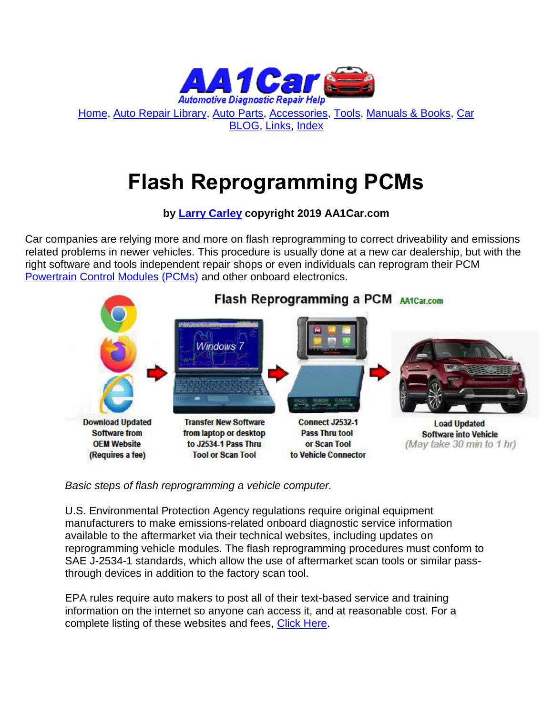

[Home,](http://www.aa1car.com/) [Auto Repair Library,](http://www.aa1car.com/library.htm) [Auto Parts,](http://www.aa1car.com/links_parts.htm) [Accessories,](http://www.aa1car.com/links_accessories.htm) [Tools,](http://www.aa1car.com/links_tools.htm) [Manuals & Books,](http://www.aa1car.com/links_books.htm) [Car](http://www.aa1car.com/blog/blog.htm)  [BLOG,](http://www.aa1car.com/blog/blog.htm) [Links,](http://www.aa1car.com/links.htm) [Index](http://www.aa1car.com/index_alphabetical.htm)

## **Flash Reprogramming PCMs**

**by [Larry Carley](https://www.aa1car.com/larrypage/larrycarley_photos.htm) copyright 2019 AA1Car.com**

Car companies are relying more and more on flash reprogramming to correct driveability and emissions related problems in newer vehicles. This procedure is usually done at a new car dealership, but with the right software and tools independent repair shops or even individuals can reprogram their PCM [Powertrain Control Modules \(PCMs\)](http://www.aa1car.com/library/pcm.htm) and other onboard electronics.



*Basic steps of flash reprogramming a vehicle computer.*

U.S. Environmental Protection Agency regulations require original equipment manufacturers to make emissions-related onboard diagnostic service information available to the aftermarket via their technical websites, including updates on reprogramming vehicle modules. The flash reprogramming procedures must conform to SAE J-2534-1 standards, which allow the use of aftermarket scan tools or similar passthrough devices in addition to the factory scan tool.

EPA rules require auto makers to post all of their text-based service and training information on the internet so anyone can access it, and at reasonable cost. For a complete listing of these websites and fees, [Click Here.](http://www.aa1car.com/library/oemwebsites.htm)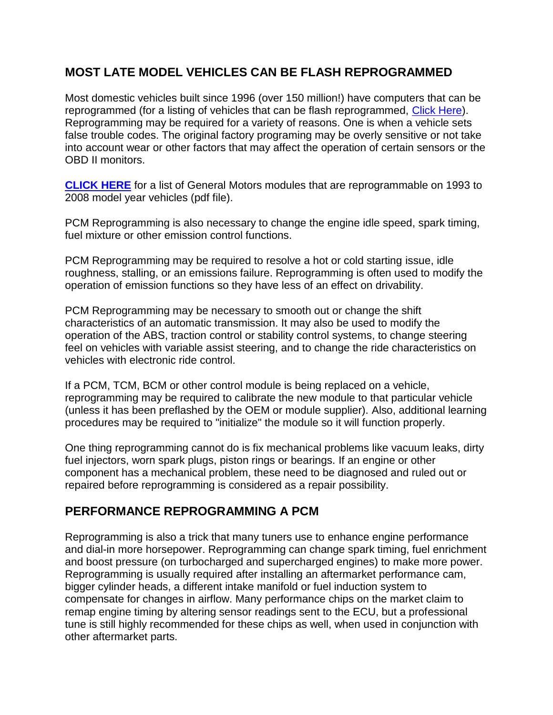#### **MOST LATE MODEL VEHICLES CAN BE FLASH REPROGRAMMED**

Most domestic vehicles built since 1996 (over 150 million!) have computers that can be reprogrammed (for a listing of vehicles that can be flash reprogrammed, [Click Here\)](http://www.nastf.org/i4a/pages/index.cfm?pageid=3639). Reprogramming may be required for a variety of reasons. One is when a vehicle sets false trouble codes. The original factory programing may be overly sensitive or not take into account wear or other factors that may affect the operation of certain sensors or the OBD II monitors.

**[CLICK HERE](http://www.aa1car.com/library/gm_reprogrammable_modules.pdf)** for a list of General Motors modules that are reprogrammable on 1993 to 2008 model year vehicles (pdf file).

PCM Reprogramming is also necessary to change the engine idle speed, spark timing, fuel mixture or other emission control functions.

PCM Reprogramming may be required to resolve a hot or cold starting issue, idle roughness, stalling, or an emissions failure. Reprogramming is often used to modify the operation of emission functions so they have less of an effect on drivability.

PCM Reprogramming may be necessary to smooth out or change the shift characteristics of an automatic transmission. It may also be used to modify the operation of the ABS, traction control or stability control systems, to change steering feel on vehicles with variable assist steering, and to change the ride characteristics on vehicles with electronic ride control.

If a PCM, TCM, BCM or other control module is being replaced on a vehicle, reprogramming may be required to calibrate the new module to that particular vehicle (unless it has been preflashed by the OEM or module supplier). Also, additional learning procedures may be required to "initialize" the module so it will function properly.

One thing reprogramming cannot do is fix mechanical problems like vacuum leaks, dirty fuel injectors, worn spark plugs, piston rings or bearings. If an engine or other component has a mechanical problem, these need to be diagnosed and ruled out or repaired before reprogramming is considered as a repair possibility.

#### **PERFORMANCE REPROGRAMMING A PCM**

Reprogramming is also a trick that many tuners use to enhance engine performance and dial-in more horsepower. Reprogramming can change spark timing, fuel enrichment and boost pressure (on turbocharged and supercharged engines) to make more power. Reprogramming is usually required after installing an aftermarket performance cam, bigger cylinder heads, a different intake manifold or fuel induction system to compensate for changes in airflow. Many performance chips on the market claim to remap engine timing by altering sensor readings sent to the ECU, but a professional tune is still highly recommended for these chips as well, when used in conjunction with other aftermarket parts.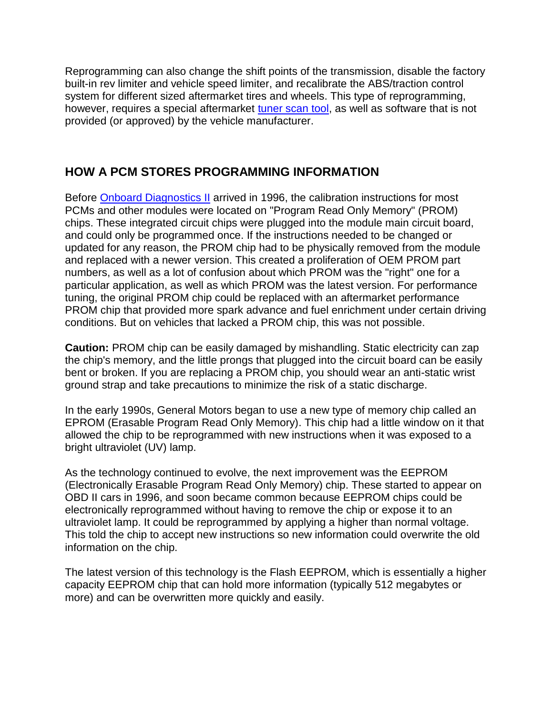Reprogramming can also change the shift points of the transmission, disable the factory built-in rev limiter and vehicle speed limiter, and recalibrate the ABS/traction control system for different sized aftermarket tires and wheels. This type of reprogramming, however, requires a special aftermarket [tuner scan tool,](http://www.aa1car.com/library/ts404e.htm) as well as software that is not provided (or approved) by the vehicle manufacturer.

#### **HOW A PCM STORES PROGRAMMING INFORMATION**

Before [Onboard Diagnostics II](http://www.aa1car.com/library/us796obd.htm) arrived in 1996, the calibration instructions for most PCMs and other modules were located on "Program Read Only Memory" (PROM) chips. These integrated circuit chips were plugged into the module main circuit board, and could only be programmed once. If the instructions needed to be changed or updated for any reason, the PROM chip had to be physically removed from the module and replaced with a newer version. This created a proliferation of OEM PROM part numbers, as well as a lot of confusion about which PROM was the "right" one for a particular application, as well as which PROM was the latest version. For performance tuning, the original PROM chip could be replaced with an aftermarket performance PROM chip that provided more spark advance and fuel enrichment under certain driving conditions. But on vehicles that lacked a PROM chip, this was not possible.

**Caution:** PROM chip can be easily damaged by mishandling. Static electricity can zap the chip's memory, and the little prongs that plugged into the circuit board can be easily bent or broken. If you are replacing a PROM chip, you should wear an anti-static wrist ground strap and take precautions to minimize the risk of a static discharge.

In the early 1990s, General Motors began to use a new type of memory chip called an EPROM (Erasable Program Read Only Memory). This chip had a little window on it that allowed the chip to be reprogrammed with new instructions when it was exposed to a bright ultraviolet (UV) lamp.

As the technology continued to evolve, the next improvement was the EEPROM (Electronically Erasable Program Read Only Memory) chip. These started to appear on OBD II cars in 1996, and soon became common because EEPROM chips could be electronically reprogrammed without having to remove the chip or expose it to an ultraviolet lamp. It could be reprogrammed by applying a higher than normal voltage. This told the chip to accept new instructions so new information could overwrite the old information on the chip.

The latest version of this technology is the Flash EEPROM, which is essentially a higher capacity EEPROM chip that can hold more information (typically 512 megabytes or more) and can be overwritten more quickly and easily.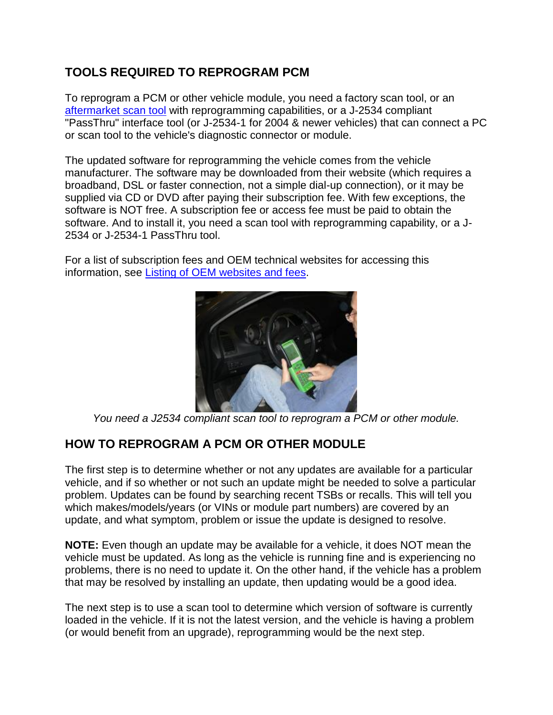#### **TOOLS REQUIRED TO REPROGRAM PCM**

To reprogram a PCM or other vehicle module, you need a factory scan tool, or an [aftermarket scan tool](http://www.scantoolhelp.com/) with reprogramming capabilities, or a J-2534 compliant "PassThru" interface tool (or J-2534-1 for 2004 & newer vehicles) that can connect a PC or scan tool to the vehicle's diagnostic connector or module.

The updated software for reprogramming the vehicle comes from the vehicle manufacturer. The software may be downloaded from their website (which requires a broadband, DSL or faster connection, not a simple dial-up connection), or it may be supplied via CD or DVD after paying their subscription fee. With few exceptions, the software is NOT free. A subscription fee or access fee must be paid to obtain the software. And to install it, you need a scan tool with reprogramming capability, or a J-2534 or J-2534-1 PassThru tool.

For a list of subscription fees and OEM technical websites for accessing this information, see [Listing of OEM websites and fees.](http://www.aa1car.com/library/oemwebsites.htm)



*You need a J2534 compliant scan tool to reprogram a PCM or other module.*

#### **HOW TO REPROGRAM A PCM OR OTHER MODULE**

The first step is to determine whether or not any updates are available for a particular vehicle, and if so whether or not such an update might be needed to solve a particular problem. Updates can be found by searching recent TSBs or recalls. This will tell you which makes/models/years (or VINs or module part numbers) are covered by an update, and what symptom, problem or issue the update is designed to resolve.

**NOTE:** Even though an update may be available for a vehicle, it does NOT mean the vehicle must be updated. As long as the vehicle is running fine and is experiencing no problems, there is no need to update it. On the other hand, if the vehicle has a problem that may be resolved by installing an update, then updating would be a good idea.

The next step is to use a scan tool to determine which version of software is currently loaded in the vehicle. If it is not the latest version, and the vehicle is having a problem (or would benefit from an upgrade), reprogramming would be the next step.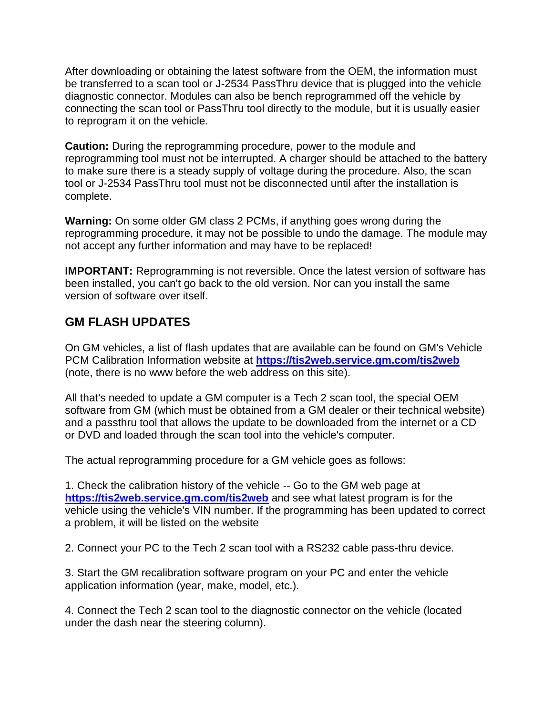After downloading or obtaining the latest software from the OEM, the information must be transferred to a scan tool or J-2534 PassThru device that is plugged into the vehicle diagnostic connector. Modules can also be bench reprogrammed off the vehicle by connecting the scan tool or PassThru tool directly to the module, but it is usually easier to reprogram it on the vehicle.

**Caution:** During the reprogramming procedure, power to the module and reprogramming tool must not be interrupted. A charger should be attached to the battery to make sure there is a steady supply of voltage during the procedure. Also, the scan tool or J-2534 PassThru tool must not be disconnected until after the installation is complete.

**Warning:** On some older GM class 2 PCMs, if anything goes wrong during the reprogramming procedure, it may not be possible to undo the damage. The module may not accept any further information and may have to be replaced!

**IMPORTANT:** Reprogramming is not reversible. Once the latest version of software has been installed, you can't go back to the old version. Nor can you install the same version of software over itself.

#### **GM FLASH UPDATES**

On GM vehicles, a list of flash updates that are available can be found on GM's Vehicle PCM Calibration Information website at **<https://tis2web.service.gm.com/tis2web>** (note, there is no www before the web address on this site).

All that's needed to update a GM computer is a Tech 2 scan tool, the special OEM software from GM (which must be obtained from a GM dealer or their technical website) and a passthru tool that allows the update to be downloaded from the internet or a CD or DVD and loaded through the scan tool into the vehicle's computer.

The actual reprogramming procedure for a GM vehicle goes as follows:

1. Check the calibration history of the vehicle -- Go to the GM web page at **<https://tis2web.service.gm.com/tis2web>** and see what latest program is for the vehicle using the vehicle's VIN number. If the programming has been updated to correct a problem, it will be listed on the website

2. Connect your PC to the Tech 2 scan tool with a RS232 cable pass-thru device.

3. Start the GM recalibration software program on your PC and enter the vehicle application information (year, make, model, etc.).

4. Connect the Tech 2 scan tool to the diagnostic connector on the vehicle (located under the dash near the steering column).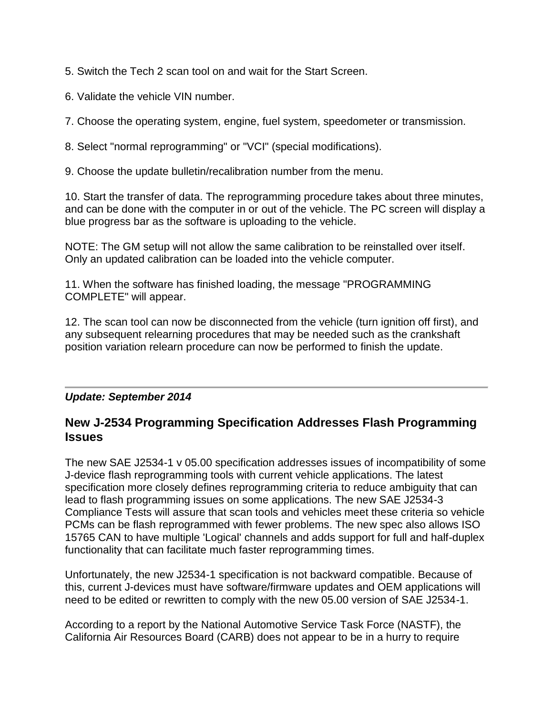5. Switch the Tech 2 scan tool on and wait for the Start Screen.

6. Validate the vehicle VIN number.

7. Choose the operating system, engine, fuel system, speedometer or transmission.

8. Select "normal reprogramming" or "VCI" (special modifications).

9. Choose the update bulletin/recalibration number from the menu.

10. Start the transfer of data. The reprogramming procedure takes about three minutes, and can be done with the computer in or out of the vehicle. The PC screen will display a blue progress bar as the software is uploading to the vehicle.

NOTE: The GM setup will not allow the same calibration to be reinstalled over itself. Only an updated calibration can be loaded into the vehicle computer.

11. When the software has finished loading, the message "PROGRAMMING COMPLETE" will appear.

12. The scan tool can now be disconnected from the vehicle (turn ignition off first), and any subsequent relearning procedures that may be needed such as the crankshaft position variation relearn procedure can now be performed to finish the update.

#### *Update: September 2014*

#### **New J-2534 Programming Specification Addresses Flash Programming Issues**

The new SAE J2534-1 v 05.00 specification addresses issues of incompatibility of some J-device flash reprogramming tools with current vehicle applications. The latest specification more closely defines reprogramming criteria to reduce ambiguity that can lead to flash programming issues on some applications. The new SAE J2534-3 Compliance Tests will assure that scan tools and vehicles meet these criteria so vehicle PCMs can be flash reprogrammed with fewer problems. The new spec also allows ISO 15765 CAN to have multiple 'Logical' channels and adds support for full and half-duplex functionality that can facilitate much faster reprogramming times.

Unfortunately, the new J2534-1 specification is not backward compatible. Because of this, current J-devices must have software/firmware updates and OEM applications will need to be edited or rewritten to comply with the new 05.00 version of SAE J2534-1.

According to a report by the National Automotive Service Task Force (NASTF), the California Air Resources Board (CARB) does not appear to be in a hurry to require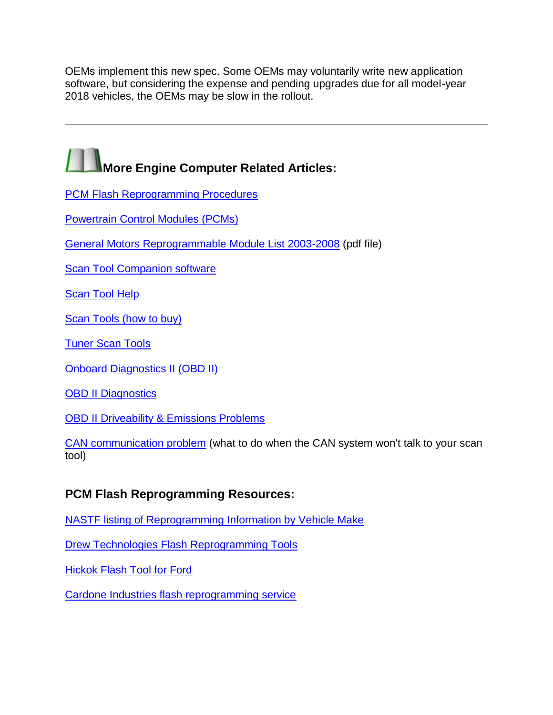OEMs implement this new spec. Some OEMs may voluntarily write new application software, but considering the expense and pending upgrades due for all model-year 2018 vehicles, the OEMs may be slow in the rollout.

# **More Engine Computer Related Articles:**

[PCM Flash Reprogramming Procedures](http://www.aa1car.com/library/2004/us10430.htm)

[Powertrain Control Modules \(PCMs\)](http://www.aa1car.com/library/pcm.htm)

[General Motors Reprogrammable Module List 2003-2008](http://www.aa1car.com/library/gm_reprogrammable_modules.pdf) (pdf file)

[Scan Tool Companion software](http://www.aa1car.com/carleyware/scantool_companion.htm)

[Scan Tool Help](http://www.aa1car.com/scantoolhelp/)

[Scan Tools \(how to buy\)](http://www.aa1car.com/library/2003/ic10318.htm)

[Tuner Scan Tools](http://www.aa1car.com/library/ts404e.htm)

[Onboard Diagnostics II \(OBD II\)](http://www.aa1car.com/library/us796obd.htm)

**[OBD II Diagnostics](http://www.aa1car.com/library/ic10224.htm)** 

**[OBD II Driveability & Emissions Problems](http://www.aa1car.com/library/ic50234.htm)** 

[CAN communication problem](http://www.aa1car.com/library/can_communication_problem.htm) (what to do when the CAN system won't talk to your scan tool)

#### **PCM Flash Reprogramming Resources:**

[NASTF listing of Reprogramming Information by Vehicle Make](http://www.nastf.org/i4a/pages/index.cfm?pageid=3639)

[Drew Technologies Flash Reprogramming Tools](http://www.drewtech.com/)

[Hickok Flash Tool for Ford](http://www.hickok-inc.com/)

[Cardone Industries flash reprogramming service](http://www.cardone.com/)